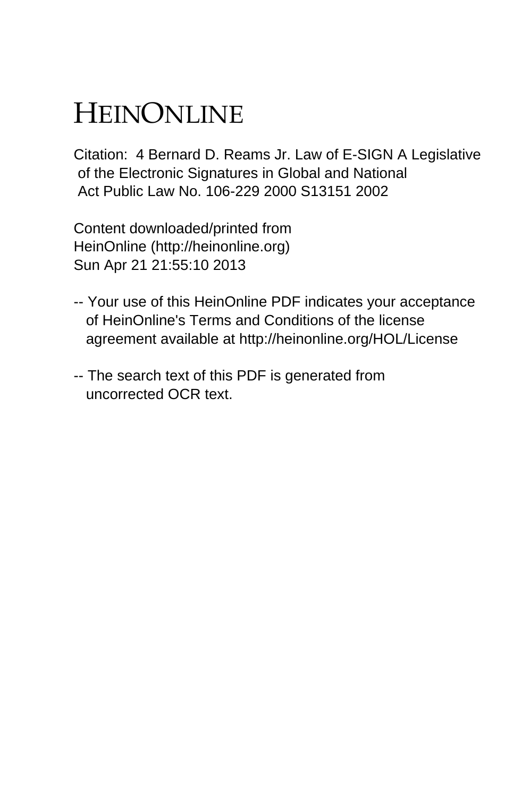# HEINONLINE

Citation: 4 Bernard D. Reams Jr. Law of E-SIGN A Legislative of the Electronic Signatures in Global and National Act Public Law No. 106-229 2000 S13151 2002

Content downloaded/printed from HeinOnline (http://heinonline.org) Sun Apr 21 21:55:10 2013

- -- Your use of this HeinOnline PDF indicates your acceptance of HeinOnline's Terms and Conditions of the license agreement available at http://heinonline.org/HOL/License
- -- The search text of this PDF is generated from uncorrected OCR text.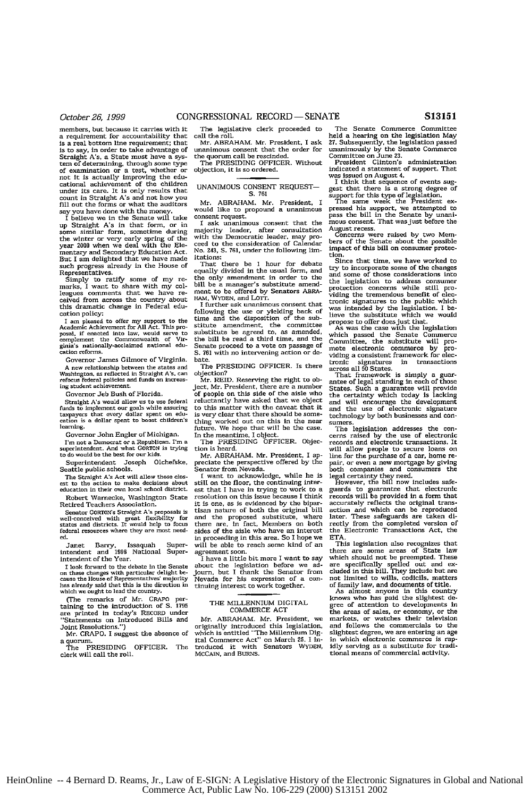members, but because it carries with it a requirement for accountability that **is** a real bottom line requirement: that is to say, in order to take advantage of Straight A's, a State must have a system of determining, through some type of examination or a test, whether or not It is actually improving the edu-cational achievement of the children under its care. It is only results that **count** in Straight A's and not how you fill out the forms or what the auditors

say you have done with the money. I believe we in the Senate will take up Straight **A's** in that form, or in **some** similar form, sometime during the winter or very early spring of the year **2000** when we deal with the Elementary and Secondary Education Act. But I am delighted that we have made such progress already in the House **of**

Representatives. Simply to ratify some of my re-marks, I want to share with my col-leagues comments that we have received from across the country about this dramatic change in Federal education policy:

I am pleased to offer my support to the<br>Academic Achievement for All Act. This proposal, **if** enacted into law, would serve to complement the Commonwealth of Vir-ginia's nationally-acclaimed national education reforms.

Governor James Gilmore of Virginia. A new relationship between the states and Washington, as reflected in Straight A's. **can refeus** federal policies and funds **on** increas-isg student achievement.

Governor Jeb Bush of Florida.

Straight **A's would** allow **us** to **use** federal funds to implement **or** goals **while** assuring taxpayers that every dollar spent **on** edu-cation is a dollar spent to boost children's lmming. Governor John Engler **of** Michigan.

I'm not a Democrat or a Republican. I'm a superintendent. And what GORTON is trying to do **would** te the best **for our** kids.

Superintendent Joseph Olchefske, Seattle public schools.

The Straight A's Act will allow those closest to the action to make decisions about education in their own local school district.

Robert Warnecke, Washington State Retired Teachers Association.

Senator GORTON's Straight A's proposals is well-conceived with great flexibility **for** states **and** districts. It would help **to** focus federal resources where they **are** most need**ed.**

Janet Barry, Issaquah Super-intendent and 1991 National Superintendent and 1990.

I look forward to the debate in the Senate<br>on these changes with particular delight be-<br>cause the House of Representatives' majority<br>has already said that this is the direction in<br>which we ought to lead the country.

(The remarks of Mr. **CRAPO** per-taining to the introduction **of S. 1795** are printed in today's RECORD under "Statements on Introduced Bills **and** Joint Resolutions.")

Mr. CRAPO. I suggest the absence of a quorum.

The PRESIDING OFFICER. The clerk will call the roll.

The legislative clerk proceeded to call the roll. Mr. ABRAHAM. Mr. President, I **ask**

unanimous **consent** that the order **for** the quorum call be rescinded. The PRESIDING OFFICER. Without

objection, it is so ordered.

# UNANIMOUS CONSENT REQUEST-**S. 761**

Mr. ABRAHAM. Mr. President, I would like to propound a unanimous consent request.

ask unanimous consent that the majority leader, after consultation with the Democratic leader, may proceed to the consideration of Calendar **No.** 243, **S. 761,** under the following **rn** itations:

That there be 1 hour for debate equally divided in the usual form, **and** the only amendment in order to the bill be a manager's substitute amendment to **be** offered by Senators ABRA-HAM, WYDEN, and LOTT.

I further **ask** unanimous consent that following the use or yielding back of time and the disposition of the substitute amendment, the committee substitute **be** agreed to, as amended, the bill be read a third time, and the Senate proceed to a vote on passage **of S. 761** with no intervening action or debate.

The PRESIDING OFFICER. Is there objection? Mr. REID. Reserving the right to ob-

ject, Mr. President, there are a number of people on this side of the aisle who reluctantly have asked that we object to this matter with the caveat that it is very clear that there should be something worked out on this in the near future. We hope that will be the case. In the meantime, I object. The **PRESIDING** OFFICER. Objec-

tion is heard.

Mr. ABRAHAM. Mr. President, I appreciate the perspective offered **by** the Senator from Nevada.

**I** want to acknowledge, while he is still **on** the floor, the continuing inter**est** that I have in trying to work to a resolution on this issue because I think it is one, as is evidenced by the bipar-tisan nature of both the original bill **and** the proposed substitute, where there are, in fact, Members on both sides of the aisle who have **an** interest in proceeding in this area. So I hope we will be able to reach some kind of an agreement soon.

I have a little bit more I want to say about the legislation before we ad-journ, but I thank the Senator from Nevada for his expression of a continuing interest to work together.

# THE MILLENNIUM DIGITAL COMMERCE ACT

Mr. ABRAHAM. **Mr.** President, we originally introduced this legislation, which is entitled "The Millennium **Dig-**ital Commerce Act" on March **25.** I in-troduced it with Senators WYDEN, McCAIN, and BURNs.

The Senate Commerce Committee held a hearing on the legislation May *27.* Subsequently, the legislation passed unanimously by the Senate Commerce Committee on June **23.** President Clinton's administration

indicated a statement of support. That was Issued on August 4,

was issue of a changes.<br>Think that sequence of events suggest that there is a strong degree of<br>support for this type of legislation.<br>The same week the President ex-<br>pressed his support, we attempted to<br>press the bill in th August recess.

Concerns were raised by two Mem-bers of the Senate about the possible impact of this bill on consumer pretec-

**tion.** Since that time, we have worked to *try* to incorporate some of the changes try to incorporate some of the changes<br>and some of those considerations into the legislation to address consumer protection concerns while still pro-viding the tremendous benefit **of** electronic signatures to the public which was intended by the legislation. I be lieve the substitute which we would propose to offer doesjust that. **As** was the case with the legislation

which passed the Senate Commerce Committee, the substitute will pro-mote electronic commerce by pro-viding a consistent framework for electronic signatures in transactions across all **50** States. That framework is simply a guar-

increase the distribution of the care of legal standing in each of those<br>States. Such a guarantee will provide<br>the certainty which today is lacking<br>and will encurage the development<br>and the use of electronic signature<br>tech

The legislation addresses the concorns raised by the use of electronic records and electronic transactions. It will allow people to secure loans on line for the purchase of a car, home repair, or even a new mortgage by giving

part, or even a new motogree by giving<br>both companies and consumers the legal certainty they need.<br>Egal certainty they need.<br>However, the bill now includes safe-<br>guards will be provided in a form that<br>accurately reflects t accurately reflects the original transaction and which can be reproduced later. These safeguards are taken di-rectly from the completed version of the Electronic Transactions Act, the ETA.

This legislation also recognizes that there **are** some areas of State law which should not be preempted. These are specifically spelled out and **ex-**cluded in this bill. They Include but are **not** limited to wills, codicils, matters

of family law, and documents of title.<br>As almost anyone in this country<br>knows who has paid the slightest degree of attention to developments in the areas of sales, or economy, or the markets, or watches their television and follows the commercials to the slightest degree, we are entering an age which electronic commerce is ra **idly** serving as a substitute for traditional means of commercial activity.

HeinOnline -- 4 Bernard D. Reams, Jr., Law of E-SIGN: A Legislative History of the Electronic Signatures in Global and National Commerce Act, Public Law No. 106-229 (2000) S13151 2002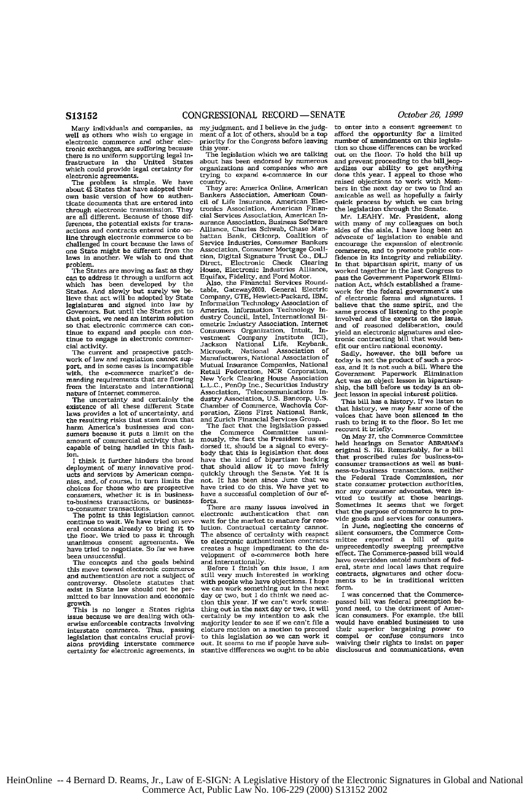Many individuals and companies, well as others who wish to engage in electronic commerce and other electronic exchanges. are suffering because there is no uniform supporting legal in-frastructure in the United States which could provide legal certainty for

electronic agreements. The problem is simple. We have about 42 States that have adopted their own basic version of how to authen-ticate documents that are entered into through electronic transmission. They **are** all different. Because of these differences, the potential exists for transactions and contracts entered into online through electronic commerce to be challenged in court because the laws of one State might be different from the laws in another. We wish to end that problem.

The States are moving as fast as they can to address it through a uniform act which has been developed by the States. And slowly but surely we believe that act will be adopted by State legislatures and signed **into law by** Governors. But until the States get to that point, we need en interim solution so that electronic commerce can continue to expand and people can continue to engage in electronic commer-

cial activity. The current and prospective patch-work of law and regulation cannot support. and in some cases is incompatible the e-commerce market's demanding requirements that are flowing from the interstate and international nature of Internet commerce.

The uncertainty and certainly the existence of all these different State laws provides a lot of uncertainty, and the resulting risks that stem from that ham America's businesses and con-sumers because it puts a limit on the amount of commercial activity that is capable of being handled in this fashion.

I think it further hinders the broad deployment of many innovative prod-<br>ucts and services by American companies, and, of course, in turn limits the choices for those who **are** prospective consumers, whether it is in business-to-business transactions, or businessto-consumer transactions.<br>The point is this legislation cannot

continue to wait. We have tried on several occasions already to bring it to the floor. We tried to pass it through unanimous consent agreements. We have tried to negotiate. So far we have been unsuccessful.

The concepts and the goals behind this move toward electronic commerce and authentication are not a subject of<br>controversy. Obsolete statutes that controversy. Obsolete statutes that exist in State law should not be permitted to bar innovation **and** economic growth.

This is no longer a States rights issue because we are dealing with otherwise enforceable contracts involving interstate commerce. Thus, passing legislation that contains crucial provisions providing interstate commerce certainty for electronic agreements, in

myjudgment, **and** I believe in thejudg-ment of a lot of others, should be a top priority for the Congress before leaving

this year. The legislation which we are talking about has been endorsed by numerous organizations and companies who are trying to expand e-commerce in our country.

They are: America Online, American Bankers Association, American **Coun**cil of Life Insurance, American Electroimes Association, American Finan-cial Services Association, American In, surance Association, Business Software Alliance, Charles Schwab, Chase Man-hattan Bank, Citicorp. Coalition of Service Industries, Consumer Bankers Association. Consumer Mortgage Coali-tion, Digital Signature Trust Co., **DLJ** Direct, Electronic Check Clearing House, Electronic Industries Alliance, Equifax, Fidelity, and Ford Motor. Also, the Financial Services Round-table, Gatewaylill, General Electric

Company, GTE, Hewlett-Packard, IBM. Information Technology Association of America, Information Technology In-dustry Council, Intel, International **BI**ometric Industry Association, Internet Consumers Organization, Intuit, In-vestment Company Institute (ICI), Jackson National Life, Keybank, Microsoft, National Association of Manufacturers, National Association of Mutual Insurance Companies, National Retail Federation, NCR Corporation, New York Clearing House Association L.L.C., PenOp Inc., Securities Industry Association, Telecommunications Industry Association, U.S. Bancorp, U.S. Chamber of Commerce, Wachovia Cor-poration, Zions First National Bank, **and** Zurich Financial Services Group. The fact that the legislation passed

the Commerce Committee unani-mously, the fact the President has en-dorsed it, should be a signal to everybody that this is legislation that does have the kind of bipartisan backing that should allow it to move fairly quickly through the Senate. Yet It is not. It has been since June that we have tried to do this. We have yet to have a successful completion of our ef**forts.**

There are many issues involved in electronic authentication that can wait for the market to mature for resolution. Contractual certainty cannot. The absence of certainty with respect to electronic authentication contracts creates a huge impediment to the de-velopment of e-commerce both here **and** internationally. Before I finish on this issue, **I** am

still very much interested in working<br>with people who have objections. I hope with people who have objections. I hope<br>we can work something out in the next<br>day or two, but I do think we need action this year. **If** we *can't* work something out in the next day or two, it will certainly be my intention to ask the majority leader to **see** if we can't file a cloture motion on a motion to proceed to this legislation so we can work it out. It seems to me if people have substantive differences we ought to be able

enter into a consent agreement to afford the opportunity for a limited number of amendments on this legislation so those differences can be worked out on the floor. To hold the and prevent proceeding to the billjeop-ardizes our ability to get anything done this year. I appeal to those who raised objections to work with Mombers in the next day or two to find an amicable as well as hopefully a fairly quick process by which we can bring the legislation through the Senate. Mr. LEAHY. Mr. President, along

with many of my colleagues on both<br>sides of the aisle, I have long been an<br>advocate of legislation to enable and<br>encourage the expansion of electronic commerce, and to promote public con-fidence in its integrity and reliability. In that bipartisan spirit, many of us<br>worked together in the last Congress to pass the Government Paperwork Elimi-nation Act, which established a framework for the federal government's use **of** electronic forms **and** signatures. I believe that the same spirit, and the same process of listening to the people involved and the experts on the issu **and** of reasoned deliberation, could yield an electronic signatures and elec-tronic contracting bill that would ben-efit our entire national economy.

Sadly, however, the bill before **us** today is not the product of such a process, and it Is not such a bill. Where the Government Paperwork Elimination Act was *an* object lesson in bipartisan-ship. the bill before us today is an object lesson in special interest politics.

This bill has a history. If we listen to that history, we may hear some of the voices that have been silenced in the rush to bring it to the floor. So let me recount it briefly.

On May **27.** the Commerce Committee held hearings on Senator ABRAHAM'S original S. **761.** Remarkably, for a bill that proscribed rules for business-toconsumer transactions as well as busi-ness to-business transactions, neither the Federal Trade Comnission, nor state consumer protection authorities, nor any consumer advocates, were innor any consumer advocates, were in<br>vited to testify at those hearings<br>Sometimes it seems that we forget Sometimes it seems that we forger<br>that the purpose of commerce is to pro-<br>vide goods and services for consumers.

In June. neglecting the concerns of silent consumers, the Commerce Com-mittee reported a bill of quite unprecedentedly sweeping preemptive effect. The Conmerce-passed bill would have overridden untold numbers of fed-eral, state **and** local laws that require erial, state and ideal laws that require<br>contracts, signatures and other docu-<br>ments to be in traditional writter form.

I was concerned that the Commer passed bill was federal preemption be-yond need, to the detriment of American consumers. For example, the bill would have enabled businesses to use their superior bargaining **power** to compel or confuse consumers into waiving their rights to insist on paper disclosures and communications, even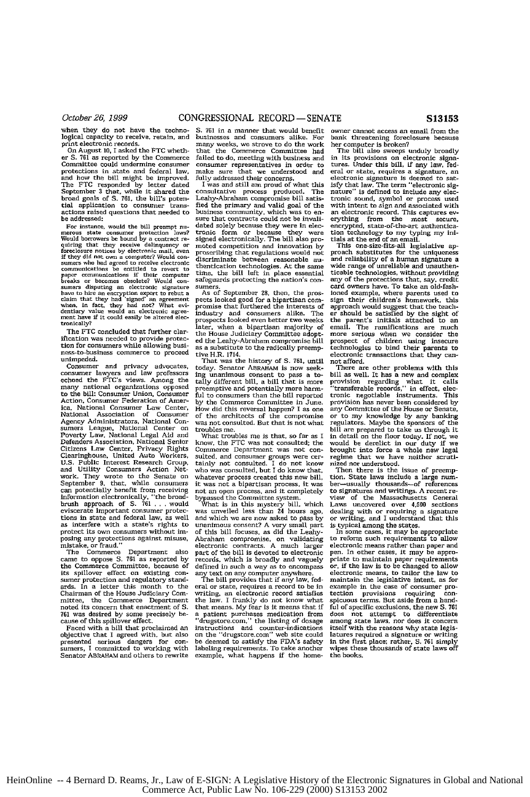logical capacity to receive, retain, and businesses and consumers alike. For print electronic records, many weeks, we strove to do the work

er S. 761 as reported by the Commerce failed to do, meeting with business and Committee could undermine consumer representatives in order to protections in state and federal law, make sure that we understood and and how the bill might be improved. fully addressed their concerns.<br>The FTC responded by letter dated I was and still am proud of what this<br>September 3 that, while it shared the consultative process produced. The broad goals of S. 761. the bill's poten- Leahy-Abraham compromise bill satis-tld application to consumer trans- fled the primary and valid goal of the

Would borrowers be bound by a contract re-signed electronically. The bill also pro-<br>would borrowers be bound by a contract re-signed electronically. The bill also pro-<br>foreclosure notices by electronic mail, even proced co communications is entitled to revert to time, the bill left in place essential<br>breaks or becomes obsolete? Would con-safeguards protecting the nation's con-<br>breaks or becomes obsolete? Would con-safeguards protecting the n paper communications it their computer<br>breaks or becomes obsolete? Would con-<br>sumers disputing an electronic signature<br>have to hire an encryption expert to rebut a<br>claim that they had 'signed' an agreement<br>when, in fact, t

ification was needed to provide protec-<br>tion for consumers while allowing busi-<br>as a substitute to the radically preemption for consumers while allowing busi-<br>ness-to-business commerce to proceed tive  $H.R. 1714$ .

echoed the FTC's views. Among the taily different bill, a bill that is more many national organizations opposed preemptive and potentially more harm- to the bill: Consumer Union, Consumer ful to consumers than the bill rep Action, Consumer Federation of Amer- by the Commerce Committee in June. ica, National Consumer Law Center, How did this reversal happen? I as one National Association of Consumer of the architects of the compromise<br>Agency Administrators, National Con- was not consulted. But that is not what<br>sumers League, National Center on troubles me. sumers League, National Center on troubles me.<br>Poverty Law, National Legal Aid and What troubles me is that, so far as I<br>Defenders Association, National Senior know, the FTC was not consulted; the<br>Citizens Law Center, Priv Citizens Law Center, Privacy Rights Commerce Department was not con-<br>Clearinghouse, United Auto Workers, sulted, and consumer groups were cer-U.S. Public Interest Research Group, tainly not consulted. I do not know<br>and Utility Consumers Action Net- who was consulted, but I do know that, and Utility Consumers Action Net- who was consulted, but I do know that<br>and Utility Consumers Action Net- who was consulted, but I do know that<br>September 9. that, while consumers it was not a bipartisan process, it was<br>can WORK. They would use the centure in the state and potentially benefit from receiving not an open process, and it completely information electronically, "the broad-bypassed the Committee system. Information electronically, as interfere with a state's rights to unanimous consent? A very small part as interfere with a state's rights to unanimous consent? A very small part

its spillover effect on existing con-any text on any computer anywhere sumer protection and regulatory stand-<br>and- The bill provides that if any law, fed-<br>ards. In a letter this month to the eral or state, requires a recor ards. In a letter this month to the eral or state, requires a record to be in Chairman of the House Judiciary Com-writing, an electronic record satisfies mittee, the Commerce Department the law. I frankly do not know what mittee, the Commerce Department the law. I frankly do not know what noted its concern that enactment of S. that means. My fear is it means that if **761 was desired by some precisely be-<br>761 was desired by some precisely be-<br>cause of this spillover effect.** 

The dividend and the distribution of the distribution of the distribution of the distribution of the distribution of the distribution of the distribution of the distribution of the distribution of the state summers, I comm

when they do not have the techno- S. 761 in a manner that would benefit logical capacity to receive, retain, and businesses and consumers alike. For print electronic records. many weeks, we strove to do the work<br>On August 10, I asked the FTC wheth- that the Commerce Committee had<br>er S. 761 as reported by the Commerce failed to do, meeting with business and make sure that we understood and<br>fully addressed their concerns.

actions raised questions that needed to business community, which was to **en-**be addressed: sure that contracts could not be invali-**For** istance, would the bill preempt **n,-** dated solely because they were in lec- merous state consumer protection **laws?** ronic form or because they were

exts looked good for a bipartisan compromise that furthered the interests of industry and consumers alike. The prospects looked even better two weeks later, when a bipartisan majority of The FTC concluded that further clareated the House Judiciary Committee adopt

unimpeded. That was the history of S. 761, until<br>Consumer and privacy advocates, today. Senator ABRAHAM is now seek-<br>Consumer lawyers and law professors ing unanimous consent to pass a to-Consumer and privacy advocates, today, Senator ABRAHAM is now seek-<br>consumer lawyers and law professors ing unanimous consumer lawyers and<br>echoed the FTC's views. Among the tally different bill, a bill that is more

protect its own consumers without im-<br>
of this bill focuses, as did the Leahy-<br>
posing any protections against misuse. Abraham compromise, on validating<br>
mistake, or fraud."<br>
electronic contracts. A much larger mistake, or fraud."<br>
The Commerce Department also part of the bill is devoted to electronic<br>
The Commerce Department also part of the bill is devoted to electronic<br>
came to oppose S. 761 as reported by records, which is br

cause of this spillover effect. "drugstore.com," the listing of dosage<br>Faced with a bill that proclaimed an instructions and counter-indications

owner cannot access an email from the bank threatening foreclosure because her computer is broken? The bill also sweeps unduly broadly

in its provisions on electronic signa-tures, Under this bill, **if** any law, federal or state, requires a signature, and electronic signature is deemed to satisfy that law. The term "electronic signature" is defined to include any electronic sound, symbol or process used with intent to sign and associated with an electronic record. This captures everything from the most secure,<br>encrypted, state-of-the-art authentica-

**tion** technology to my typing my ini-tials at the end of an email. This one-size-fit-ali legislative ap-proach substitutes for the uniqueness and reliability of a human signature a wide range of unreliable and unauthenticable technologies, without providing any of the protections that, say, credit card owners have. To take an old-fash-ioned example, where parents used to sign their children's homework, this approach would suggest that the teachapproach would suggest that the teach-<br>er should be satisfied by the sight of the parent's initials attached to an email. The ramifications are much more serious when we consider the prospect of children using insecure technologies to bind their parents to electronic transactions that they cannot afford.

There **are** other problems with this bill as well. It has a new and complex provision regarding what it calls "transferable records," **in** effect, **elec**tronic negotiable instruments. This provision has never been considered by any Committee of the House or Senate, or to my knowledge by any banking regulators. Maybe the sponsors of the bill are prepared to take us through it in detail on the floor today. If not, **we** would be derelict in our duty if we brought into force a whole new legal regime that we have neither scrutinized nor understood.<br>Then there is the issue of preemp

tion. State laws include a large number-usually thousands-of references to signatures and writings. A recent **re**view of the Massachusetts General Laws uncovered over **4g500** sections dealing with or requiring a signature or writing, and I understand that this is typical among the states. In some cases, **it** may be appropriate

to reform such requirements to allow electronic means rather than paper and pen. In other cases, it may be approprint in summary above to may be upped<br>priate to maintain paper requirements<br>or, if the law is to be changed to allow electronic means, to tailor the law to maintain the legislative intent. as for example in the case of consumer protection provisions requiring conspicuous terms. But aside from a hand ful of specific exclusions, the new **S.** *761* does not attempt to differentiate among state laws, nor **does** it concern itself with the reasons why state legis- latures required a signature or writing in the first place; rather, **S. 761** simply wipes these thousands of state laws off the books.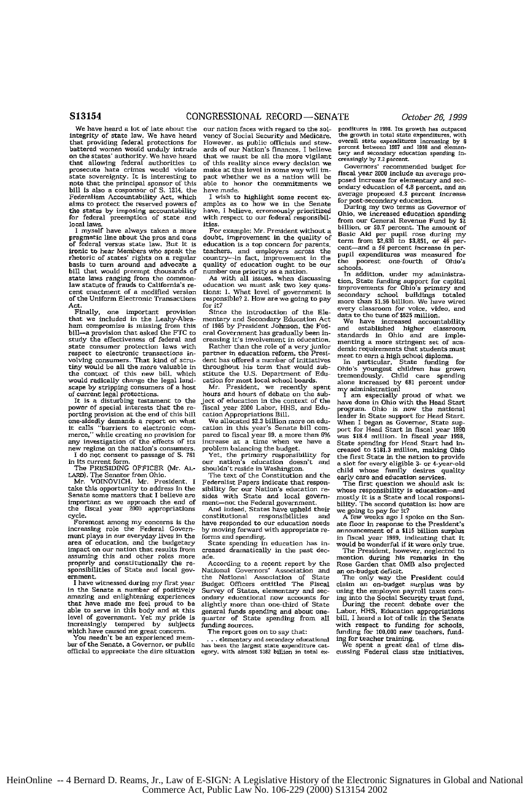We have heard a **lot** of late about the integrity of state law. We have heard that providing federal protections for battered woman would unduly intrude on the states' authority. We have heard that allowing federal authorities to prosecute hate crimes would violate state sovereignty. It is interesting to note that the principal sponsor of this bill is also a cosponsor of **S.** 1214, the Federalism Accountability Act, which aims to protect the reserved powers of the states by imposing accountability for federal preemption of state and local laws.

I myself have always taken a more pragmatic line about the pros and cons **of** federal versus state law. But it *is* ironic to hear Members who speak the rhetoric of states' rights on a regular basis to turn around **and** advocate a bill that would preempt thousands **of** state laws ranging from the common-law statute of frauds to California's **re**cent enactment of a modified version of the Uniform Electronic Transactions Act.

Finally, one important provision that we included in the Leahy-Abraham compromise is missing from this bill-a provision that asked the FTC to study the effectiveness of federal and state consumer protection laws with respect to electronic transactions invalving consumers. That kind of scru-tiny would be all the more valuable in the context of this new bill, which would radically change the legal landscape by stripping consumers of a host

of current legal protections. It is a disturbing testament to the power of special interests that the repower of special means a rate and  $\overline{10}$  porting provision at the end of this bill it calls 'barriers to electronic com-merce," while creating no provision for any investigation of the effects of its w regime on the nation's consumer **I** do not consent to passage of **S. 761**

in its current form. The PRESIDING OFFICER (Mr. **AL-**LARD). The Senator from Ohio. Mr. VOINOVICH. Mr. President, I

take this opportunity to address in the Senate some matters that I believe are important as we approach the end of the fiscal year 2000 appropriations cycle.

Foremost among my concerns is the increasing role the Federal Government plays in our everyday lives in the area of education, and the budgetary impact on our nation that results from assuming this and other roles more properly and constitutionally the re-sponsibilities of State and local government.

I have witnessed during my first year in the Senate a number of positively amazing and enlightening experiences that have made me feel proud to be able to serve in this body and at this level of government. Yet my pride is increasingly tempered by subjects

which have caused me great concern. You needn't be an experienced mem-ber of the Senate. a Governor, or public official to appreciate the dire situation

our nation faces with regard to the solvency of Social Security and Medicare. vency of Social Security and Medicare. However, as public officials and stew-ards of our Nation's finances, I believe that we must be all the more vigilant of this reality since every decision we make at this level in some way will inpact whether we as a nation will be able to honor the commitments we have made.

I wish to highlight some recent examples **as** to how we in the Senate have, I believe, erroneously prioritized with respect to our federal responsibilities.

For example: Mr. President without a doubt, improvement in the quality of education is a top concern for parents, teachers, and employers across the country-in fact, improvement in the quality of education ought to be our number one priority as a nation. As with all issues, when discussing education we must ask two key ques-

tions: **I.** What level of government is responsible? 2. How are we going to pay **for it?**

Since the introduction of the Elementary and Secondary Education Act of **1965** by President Johnson, the Federal Government has gradually been increasing it's involvement in education.

Rather than the role of a very junior<br>partner in education reform, the President has offered a number of initiatives throughout his term that would sub-stitute the U.S. Department of Edu-cation for most local school boards.

Mr. President, we recently spent hours and hours of debate on the subject of education in the context of the fiscal year 2000 Labor, **HHS,** and Edu-cation Appropriations Bill.

We allocated **\$2.3** billion more on education in this year's Senate bill compared to fiscal year 99, a more than 6%<br>increase at a time when we have a problem balancing the budget.

Yet, the primary responsibility for our nation's education doesn't and shouldn't reside in Washington.

The text of the Constitution and the Federalist Papers indicate that responsibility for our Nation's education re-sides with State and local govern-ment-not the Federal government. And indeed, States have upheld their

And indeed, States have upheld their<br>constitutional responsibilities and have responded to our education needs by moving forward with appropriate re-

forms and spending.<br>
State spending in education has in-<br>
creased dramatically in the past decade.

According to a recent report by the National Governors' Association and the National Association of State Budget Officers entitled The Fiscal Survey of States, elementary and secondary educational now accounts for slightly mome than one-third of State general funds spending **and** about one- quarter of State spending from all quarter of State spending from all<br>funding.sources.

The report goes on to say that:

**...** elementary and secondary educational has been the largest state expenditore cat-egory. with almost **S182** billion in total *ex*

penditures in 1998. Its growth has outpaced<br>the growth in total state expenditures, with<br>overall state expenditures increasing by 6<br>percent between 1997 and 1998 and elemen**tary** and secondary eduction spending In- creasingly **by 7.2** percent.

Governors' recommended budget for fiscal year **2000** include an average ptoposed increase for elementary and sec-<br>ondary education of 4.8 percent, and an average proposed 4.3 percent increase for post-secondary education.

During my two terms as Governor of Ohio, we increased education spending from our General Revenue Fund by **\$2** billion, or **50.7** percent. The amount of Basic Aid per pupil rose during my term from **\$2,636** to **\$3,851,** or 46 percent-and a **56** percent increase in per-pupil expenditures was measured for the poorest one-fourth of Ohio's schools.

In addition, under my administration, State funding support for capital improvements for Ohio's primary **and** secondary school buildings totaled more than **\$1.56** billion. We have wired every classreom for voice, video, and

data to the tune of **\$525** million. We have increased accountability and established higher classroom standards in Ohio and are imple menting a more stringent set of academic requirements that students must

meet to earn a high school diploma.<br>
In particular, State funding for<br>
Ohio's youngest children has grown<br>
tremendously. Child care spending alone increased by **681** percent under

my administration!<br>I am especially proud of what we<br>have done in Ohio with the Head Start<br>program. Ohio is now the national leader in State support for Head Start. When I began as Governor, State support for Head Start in fiscal year *1998*,<br>was \$18.4 million. In fiscal year *1998*,<br>State spending for Head Start had in-<br>creased to \$181.3 million, making Ohio<br>the first State in the nation to provide a slot for every eligible 3- or 4-year-old<br>child whose family desires quality early care and education services.<br>The first question we should ask is:

whose responsibility is education-and mostly it is a State **and** local responsi-

bility. The second question is: how are we going to pay for it? **A** few weeks ago I spoke on the Sen-ate floor in response to the President's announcement of a **\$115** billion surplus in fiscal year **199,** indicating that it would be wonderful if it were only **true.** The President, however, neglected to

mention during his remarks in the<br>Rose Garden that OMB also projected

**an** on-budget deficit. The only way the President could claim an on-budget surplus was by using the employee payroll taxes com-ing into the Social Security trust fund. During the recent debate over the Labor, HHS, Education appropriations

bill, I heard a lot of talk in the Senate with respect to funding for schools, funding for **100,000** new teachers, **fund-**Ing for teacher training.<br>Ing for teacher training.<br>We spent a great deal of time dis-

cussing Federal class size initiatives.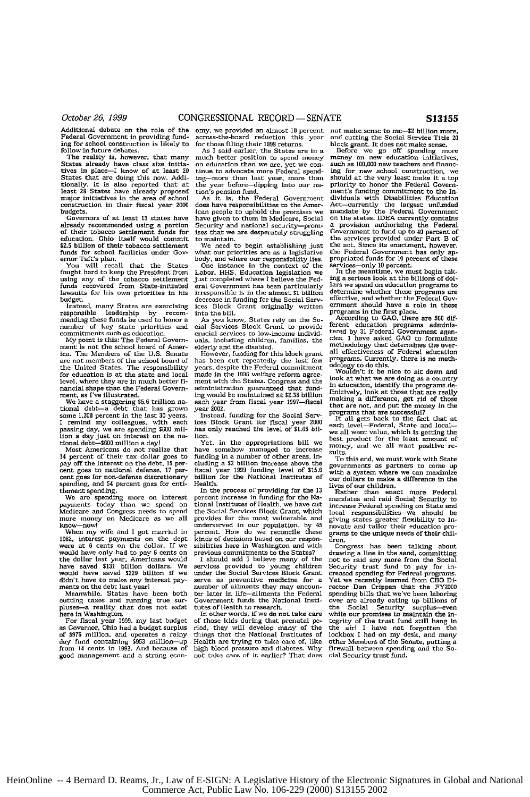Additional debate on the role of the Federal Government in providing funding for school construction is likely to follow in future debates. The reality is, however, that many

States already have class size initia-tives in plice-I know **of** at least **<sup>20</sup>** States that **are** doing this now. Addi- tionally, it is also reported that at least **28** States have already proposed major initiatives in the area of school construction in their fiscal year 2000 budgets.

Governors of at least **13** states have already recommended using a portion of their tobacco settlement funds for education. Ohio itself would commit **\$2.5** billion of their tobacco settlement funds for school facilities under Gov-

ernor Taft's plan.<br>
You will recall that the States<br>fought hard to keep the President from<br>
using any of the tobacco settlement funds recovered from State-initiated lawsuits for his own priorities in his budget.

Instead, many States are exercising responsible leadership by recom-mending these funds be used to honor a number of key state priorities and<br>commitments such as education.

commitments such as education. **My** point is this: The Federal Government is not the school board of Amer-**ica.** The Members of the **U.S.** Senate are not members of the school board of the United States. The responsibility for education is at the state and local level, where they are in much better **fi**nancial shape than the Federal Government. as I've illustrated.

We have a staggering \$5.6 trillion na-<br>tional debt-a debt that has grown<br>some 1,300 percent in the last **30** years.<br>I remind my colleagues, with each passing day, we are spending **\$600** mil-lion a day just on interest on the na-tional debt-600 million a day! Most Americans do not realie that

14 percent of their tax dollar goes to pay off the interest on the debt. 15 per-<br>cent goes to national defense, 17 per-<br>cent goes for non-defense discretionary spending, and 54 percent goes for enti-

tlement spending. We are spending more on interest payments today than we spend on Medicare and Congress needs to spend more money on Medicare as we all know-now! now—now!"<br>When my wife and I got married in

196Z, interest payments on the dept were at **6** cents on the dollar. If we would have only had to pay **6** cents on the dollar last year, Americans would have saved **\$131** billion dollars. We would have saved **\$229** billion if we

monts have to make any interest nay-<br>ments on the debt last year!<br>Meanwhile, States have been both<br>utting taxes and running true sur-<br>pluses—a reality that does not exist<br>pluses—a reality that does not exist<br>Fere in Washin

For fiscal year 1999, my last budget<br>as Governor, Ohio had a budget surplus of **\$976** million, and operates a rainy day fund containing **\$953** million-up from 14 cents in **1992.** And because of good management and a strong economy, **we** provided an almost **I0** percent across-the-board reduction this year for those filing their 1998 returns.

As I said earlier, the States are in a much better position to spend money on education than we are, yet we con-tinue to advocate more Federal spending-more than last year, more than the year before-dipping into our na-

tion's pension fund. As It is, the Federal Government does have responsibilities to the American people to uphold the premises **we** have given to them in Medicare, Social Security **and** national security-promises that we are desperately struggling

to maintain. We need to begin establishing just what our priorities are as a legislative body, and where our responsibility lies. One instance in the context of the

Labor, HHS. Education legislation we just completed where I believe the Federal Government has been particularly irresponsible is in the almost **\$1** billion decrease in funding for the Social Services Block Grant originally written into the bill.

As you know, States rely **on** the So-cial Services Block Grant to provide crucial services to low-income individ-uals, including children, families, the elderly and the disabled. However, funding for this block grant

has been cut repeatedly the last few years. despite the Federal commitment made in the **1991** welfare reform agreement with the States. Congress and the none want are summer sengthes and and<br>administration guaranteed that fund-<br>ing would be maintained at \$2.38 billion each year from fiscal year 1997-fiscal year 2002.

Instead, funding for the Social Serv-ices Block Grant **for** fiscal year 2000 has only reached the level of **\$1.05 bil**lion.

Yet, in the appropriations bill we have somehow managed to increase<br>funding in a number of other areas, in cluding a \$2 billion increase above the fiscal year **1999** funding level of **\$15.6** billion for the National Institutes **of** Health.

In the process of providing **for** the **13** percent increase in funding for the Na-tional Institutes of Health, we have cut the Social Services Block Grant, which provides **for** the most vulnerable and underserved in our population, by 45 percent. How do we reconcile these kinds of decisions based on our respon-sibilities here in Washington and with

previous commitments to the States? **<sup>I</sup>**should add **I** believe many of the services provided to young children under the Social Services Block Grant serve as preventive medicine for a number of ailments they may encounter later in life--ailments the Federal Government funds the National Insti-

**tutes of Health to research.**<br>In other words, if we do not take care<br>of those kids during that prenatal period, they will develop many of the things that the National Institutes of Health are trying to take care of, like high blood pressure and diabetes. Why not take care of it earlier? That does

not make sense to me-\$2 billion more, and cutting the Social Service Title **20** block grant. It does not make sense. Before we **go off** spending more money on new education initiatives,

such as 100,000 new teachers and financing for new school construction, we should at the very least make it a top<br>priority to honor the Federal Govern-<br>ment's funding commitment to the Informet's funding commitment to the Info<br>dividuals with Disabilities Education-<br>Act—currently the Federal Gover a provision authorizing the Federal<br>Government to fund up to 40 percent of<br>the services provided under Part B of the act. Since its enactment, however, the Federal Government has only ap-propriated funds for **10** percent of these

services-only 10 percent. In the meantime, we must begin taking a serious look at the billions of dollars we spend **on** education programs to determine whether these programs are<br>effective, and whether the Federal Gov-<br>ernment should have a role in these<br>programs in the first place.<br>programs in the first place.<br>Programs administered by 31 Federal Government agen

methodology that determines the overall effectiveness of Federal education programs. Currently, there is no methodology to do **this.** Wouldn't it be nice to sit down and

look at what we **are** doing as a country in education, identify the programs definitively, look at those that are really making a difference, get rid of those that are not, and put the money in the programs that are successful?

It all gets back to the fact that a<br>each level—Federal, State and localwe all want value, which Is getting the best product **for** the least amount of money, **and** we all want positive results.

To this end, we must work with State governments as partners to come up with a system where we **can** maximize our dollars to make a difference in the lives of our children. Rather than enact more Federal

mandates and raid Social Security to increase Federal spending on State and<br>local responsibilities-we should be giving states greater flexibility to **in-**novate and tailor their education programs to the unique needs of their chil-dren.

Congress has been talking drawing a line in the sand, committing not to raid any more from the Social Security trust fund to pay for increased spending for Federal programs. Yet we recently learned from CBO Di-rector Dan Crippen that the FY200 spending bills that we've been laboring over are already eating up billions of the Social Security surplus-ever<br>while our promises to maintain the in-<br>tegrity of the trust fund still hang in the air! I have not forgotten the lockbox I had on my desk. and many other Members of the Senate, putting a firewall between spending and the Social Security trust fund.

HeinOnline -- 4 Bernard D. Reams, Jr., Law of E-SIGN: A Legislative History of the Electronic Signatures in Global and National Commerce Act, Public Law No. 106-229 (2000) S13155 2002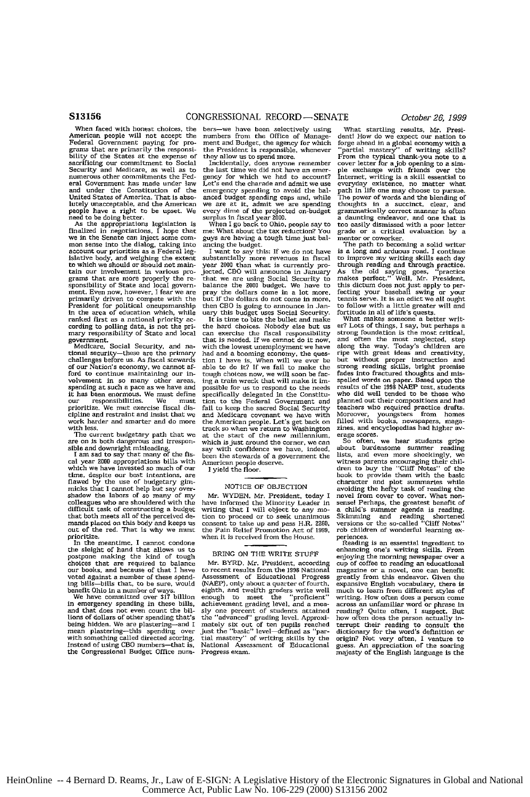Federal Government paying for pro- ment and Budget, the agency for which forest and the agency of Pederal Government paying for pro- ment and Budget, the agency for which for pro- ment and Budget, the agency for which forg bility of the States at the expense of sacrificing our commitment to Social Security and Medicare, as well as to sacrificing our commitment to Social Incidentally, does anyone remember<br>Security and Medicare, as well as to the last time we did not have an emer-<br>numerous other commitments the Fed- gency for which we had to account? numerous other commitments the Fed- gency for which we had to account? Internet, writing is a skill essential to and Government has made under law Let's end the charade and admit we use everyday existence, no matter what a and under the Constitution of the emergency spending to avoid the bal- path in life one may choose to pursue.<br>United States of America. That is abso- anced budget spending caps and, while The power of words and the blendin

we in the Senate can inject some con- guys are having a tough say to too easily dismissed with a positive finite is when I go back to Ohio, people say to too easily dismissed with a por letter. The path to becoming a solid we should out should not main- year and when the bused. The path to becoming a solid writer<br>mon sense to dialog, taking into another and when the system if is currently pro-<br>is a Federal leg-<br>is currently pro- through read grams that are more property use are and weak and contract the base base of this dictum does not just apply to per-<br>sponsibility of State and local govern- balance the 2000 budget. We have to this dictum does not just appl Fresident for political oneupstanaship then CBO is going to amounce in Jan. To follow with a little greater will and<br>the area of education which, while uary this budget uses Social Security. fortitude in all of life's ques

prioritize. We mut exercise fiscal dis- fail to keep the sacred Social Security cipline and restraint and insist that we and Medicare covenant we have with work have with were the American people. Let's get back on

cal year 2000 appropriations bills with American people deserve.<br>with the same are a moot appropriations bills with American people deserve.<br>which we have invested so much of our lyield the floor.<br>time, despite our best' o time, despite our best intentions, are<br>flawed by the use of budgetary gim-<br>micks that I cannot help but say over-<br>micks that I cannot help but say overmicks that I cannot help but say over-<br>micks that I cannot help but say over-<br>micks that I cannot help but say over-<br>MOTICE OF OBJECTION avoiding the hefty task of reading the<br>shadow the labors of so many of my Mr. WYDEN.

The meantime, I cannot condone the server of the selections. The meantime is an essential ingredient to the sleight of hand that allows us to the sleight of hand that allows us to the sleight of hand that allows us to enha

When faced with honest choices, the bers-we have been selectively using What startling results, Mr. Presi-American people will not accept the numbers from the Office of Manage- dent! How **do** we expect our nation to

I want to say this: If we do not have<br>substantially more revenues in fiscal<br>year 2000 than what is currently pro-<br>jected, CBO will announce in January tain our involvement in various pro- jected, CBO will amounce in January As the old saying goes, "practice<br>grams that are more properly the re- that we are using Social Security to makes perfect." Well, Mr. President<br>spons

the hard choices. Nobody else but us can exercise the fiscal responsibility that is needed. If we cannot do it now, mary responsibility of State and local can exercise the fiscal responsibility strong foundation is the most critical, government. the most critical, step were mean to that is needed. If we cannot do it now, and often the m thould security—these are the primary had and a booming economy, the ques- ripe with great ideas and creativity<br>challenges before us. As fiscal stewards then I have is, When will we ever be but without proper instruction a ford to continue maintaining our in-tough choices now, we will soon be fac-fades into fractured thoughts and mis-<br>volvement in so many other areas, ing a train wreck that will make it im-spelled words on paper. Based upon spending at such a pace as we have and possible for us to respond to the needs results of the 1998 NAEP test, students<br>that has been enormous. We must define specifically delegated in the Constitution and the well tended t prioritize. We must must have and possible for us to respond to the needs results of the 1998 NAEP test, students it has been enormous. We must clear specifically delegated in the Constitution and pair teachers who require work harder and smarter and do more the American people. Let's get back on filled with books, newspapers, maga<br>with less. when we return to Washington zines, and encyclopedias had higher av<br>The current budgetary path that and the special contract the state of the state of the minimum, and the contract of the state of the state of the state of the state of the state of the state of the state of the state of the state of the state of the stat

difficult task of constructing a budget writing that I will object to any mo- a child's summer agenda is reading<br>that both meets all of the perceived de- tion to proceed or to seek unanimous. Skimming and reading shortened ence out not all the backwards of the so-called "Cliff Notes"<br>mands placed on this body and keeps us consent to take up and pass H.R. 2260, versions or the so-called "Cliff Notes"<br>out of the Pain Relief Promotion Act of 19

benefit Ohio in a number of burth, expansive English vocabulary, there is eighth, and twelfth graders write well much to learn from different styles of enough to meet the "proficient" writing. How often does a person come in emergency spending in these bills, achievement grading level, and a mea-<br>across an unfamiliar word or phrase in the bills achievement grading level, and a mea-<br>across an unfamiliar word or phrase in<br>lions of dollars of being hidden. We are plastering—and I mately six out of ten pupils reached terrupt their reading to consult the<br>mean plastering—this spending over just the "basic" level—defined as "par- dictionary for the word's definitio the being hidden. We are plastering—and I mately six out of ten pupils reached terrupt their reading to consult the being hidden. We are plastering—and I mately six out of ten pupils reached terrupt their reading to consul

ment and budget, the agency to which integrated and a ground economy what a president is responsible, whenever "partial mastery" of writing skills?<br>Integration is open more. From the typical thank-you note to a simple<br>dire meed to be doing better.<br>As the appropriations legislation is when I go back to Ohio, people say to too easily dismissed with a poor letter<br>As the appropriations, I hope that me: What about the tax reduction? You grade or

Mr. WYDEN. Mr. President, today I novel from cover to cover. What non-<br>have informed the Minority Leader in sense! Perhaps, the greatest benefit of<br>writing that I will object to any mo- a child's summer agenda is reading.

ensigned by the state and of tough<br>
the kind of tough<br>
prospections that the control of the state and the control of the state of the state of the<br>
choices that a number of these spend. Assessment of Educational magazine o

HeinOnline -- 4 Bernard D. Reams, Jr., Law of E-SIGN: A Legislative History of the Electronic Signatures in Global and National Commerce Act, Public Law No. 106-229 (2000) S13156 2002